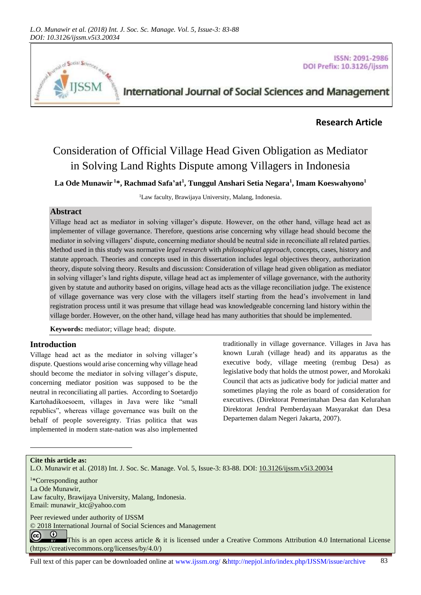

ISSN: 2091-2986 DOI Prefix: 10.3126/ijssm

# International Journal of Social Sciences and Management

# **Research Article**

# Consideration of Official Village Head Given Obligation as Mediator in Solving Land Rights Dispute among Villagers in Indonesia

**La Ode Munawir <sup>1</sup>\*, Rachmad Safa'at<sup>1</sup> , Tunggul Anshari Setia Negara<sup>1</sup> , Imam Koeswahyono<sup>1</sup>**

<sup>1</sup>Law faculty, Brawijaya University, Malang, Indonesia.

#### **Abstract**

Village head act as mediator in solving villager's dispute. However, on the other hand, village head act as implementer of village governance. Therefore, questions arise concerning why village head should become the mediator in solving villagers' dispute, concerning mediator should be neutral side in reconciliate all related parties. Method used in this study was normative *legal research* with *philosophical approach*, concepts, cases, history and statute approach. Theories and concepts used in this dissertation includes legal objectives theory, authorization theory, dispute solving theory. Results and discussion: Consideration of village head given obligation as mediator in solving villager's land rights dispute, village head act as implementer of village governance, with the authority given by statute and authority based on origins, village head acts as the village reconciliation judge. The existence of village governance was very close with the villagers itself starting from the head's involvement in land registration process until it was presume that village head was knowledgeable concerning land history within the village border. However, on the other hand, village head has many authorities that should be implemented.

**Keywords:** mediator; village head; dispute.

#### **Introduction**

Village head act as the mediator in solving villager's dispute. Questions would arise concerning why village head should become the mediator in solving villager's dispute, concerning mediator position was supposed to be the neutral in reconciliating all parties. According to Soetardjo Kartohadikoesoem, villages in Java were like "small republics", whereas village governance was built on the behalf of people sovereignty. Trias politica that was implemented in modern state-nation was also implemented traditionally in village governance. Villages in Java has known Lurah (village head) and its apparatus as the executive body, village meeting (rembug Desa) as legislative body that holds the utmost power, and Morokaki Council that acts as judicative body for judicial matter and sometimes playing the role as board of consideration for executives. (Direktorat Pemerintahan Desa dan Kelurahan Direktorat Jendral Pemberdayaan Masyarakat dan Desa Departemen dalam Negeri Jakarta, 2007).

**Cite this article as:**

l

L.O. Munawir et al. (2018) Int. J. Soc. Sc. Manage. Vol. 5, Issue-3: 83-88. DOI: [10.3126/ijssm.v5i3.20034](http://dx.doi.org/10.3126/ijssm.v5i3.20034)

<sup>1</sup>\*Corresponding author

La Ode Munawir,

Law faculty, Brawijaya University, Malang, Indonesia. Email[: munawir\\_ktc@yahoo.com](mailto:munawir_ktc@yahoo.com)

Peer reviewed under authority of IJSSM

© 2018 International Journal of Social Sciences and Management

 $\odot$  $\left(\mathrm{cc}\right)$ This is an open access article & it is licensed under a Creative Commons Attribution 4.0 International License [\(https://creativecommons.org/licenses/by/4.0/\)](https://creativecommons.org/licenses/by/4.0/)

Full text of this paper can be downloaded online at www.ijssm.org/ &http://nepjol.info/index.php/IJSSM/issue/archive 83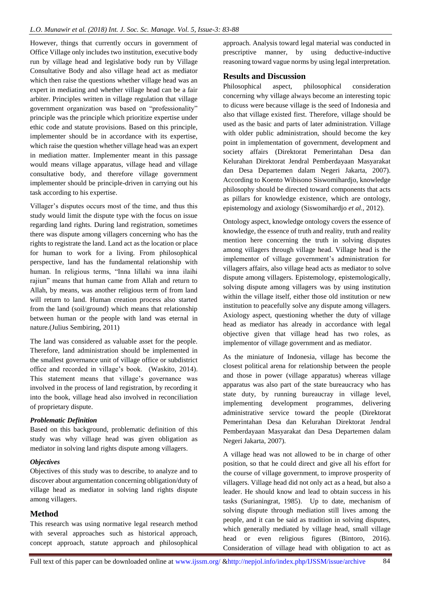However, things that currently occurs in government of Office Village only includes two institution, executive body run by village head and legislative body run by Village Consultative Body and also village head act as mediator which then raise the questions whether village head was an expert in mediating and whether village head can be a fair arbiter. Principles written in village regulation that village government organization was based on "professionality" principle was the principle which prioritize expertise under ethic code and statute provisions. Based on this principle, implementer should be in accordance with its expertise, which raise the question whether village head was an expert in mediation matter. Implementer meant in this passage would means village apparatus, village head and village consultative body, and therefore village government implementer should be principle-driven in carrying out his task according to his expertise.

Villager's disputes occurs most of the time, and thus this study would limit the dispute type with the focus on issue regarding land rights. During land registration, sometimes there was dispute among villagers concerning who has the rights to registrate the land. Land act as the location or place for human to work for a living. From philosophical perspective, land has the fundamental relationship with human. In religious terms, "Inna lillahi wa inna ilaihi rajiun" means that human came from Allah and return to Allah, by means, was another religious term of from land will return to land. Human creation process also started from the land (soil/ground) which means that relationship between human or the people with land was eternal in nature.(Julius Sembiring, 2011)

The land was considered as valuable asset for the people. Therefore, land administration should be implemented in the smallest governance unit of village office or subdistrict office and recorded in village's book. (Waskito, 2014). This statement means that village's governance was involved in the process of land registration, by recording it into the book, village head also involved in reconciliation of proprietary dispute.

#### *Problematic Definition*

Based on this background, problematic definition of this study was why village head was given obligation as mediator in solving land rights dispute among villagers.

#### *Objectives*

Objectives of this study was to describe, to analyze and to discover about argumentation concerning obligation/duty of village head as mediator in solving land rights dispute among villagers.

# **Method**

This research was using normative legal research method with several approaches such as historical approach, concept approach, statute approach and philosophical approach. Analysis toward legal material was conducted in prescriptive manner, by using deductive-inductive reasoning toward vague norms by using legal interpretation.

# **Results and Discussion**

Philosophical aspect*,* philosophical consideration concerning why village always become an interesting topic to dicuss were because village is the seed of Indonesia and also that village existed first. Therefore, village should be used as the basic and parts of later administration. Village with older public administration, should become the key point in implementation of government, development and society affairs (Direktorat Pemerintahan Desa dan Kelurahan Direktorat Jendral Pemberdayaan Masyarakat dan Desa Departemen dalam Negeri Jakarta, 2007). According to Koento Wibisono Siswomihardjo, knowledge philosophy should be directed toward components that acts as pillars for knowledge existence, which are ontology, epistemology and axiology (Siswomihardjo *et al.,* 2012).

Ontology aspect, knowledge ontology covers the essence of knowledge, the essence of truth and reality, truth and reality mention here concerning the truth in solving disputes among villagers through village head. Village head is the implementor of village government's administration for villagers affairs, also village head acts as mediator to solve dispute among villagers. Epistemology, epistemologically, solving dispute among villagers was by using institution within the village itself, either those old institution or new institution to peacefully solve any dispute among villagers. Axiology aspect, questioning whether the duty of village head as mediator has already in accordance with legal objective given that village head has two roles, as implementor of village government and as mediator.

As the miniature of Indonesia, village has become the closest political arena for relationship between the people and those in power (village apparatus) whereas village apparatus was also part of the state bureaucracy who has state duty, by running bureaucray in village level, implementing development programmes, delivering administrative service toward the people (Direktorat Pemerintahan Desa dan Kelurahan Direktorat Jendral Pemberdayaan Masyarakat dan Desa Departemen dalam Negeri Jakarta, 2007).

A village head was not allowed to be in charge of other position, so that he could direct and give all his effort for the course of village government, to improve prosperity of villagers. Village head did not only act as a head, but also a leader. He should know and lead to obtain success in his tasks (Surianingrat, 1985). Up to date, mechanism of solving dispute through mediation still lives among the people, and it can be said as tradition in solving disputes, which generally mediated by village head, small village head or even religious figures (Bintoro, 2016). Consideration of village head with obligation to act as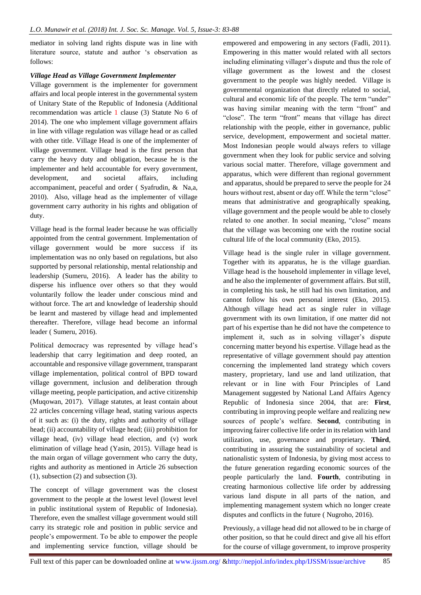mediator in solving land rights dispute was in line with literature source, statute and author 's observation as follows:

#### *Village Head as Village Government Implementer*

Village government is the implementer for government affairs and local people interest in the governmental system of Unitary State of the Republic of Indonesia (Additional recommendation was article 1 clause (3) Statute No 6 of 2014). The one who implement village government affairs in line with village regulation was village head or as called with other title. Village Head is one of the implementer of village government. Village head is the first person that carry the heavy duty and obligation, because he is the implementer and held accountable for every government, development, and societal affairs, including accompaniment, peaceful and order ( Syafrudin, & Na,a, 2010). Also, village head as the implementer of village government carry authority in his rights and obligation of duty.

Village head is the formal leader because he was officially appointed from the central government. Implementation of village government would be more success if its implementation was no only based on regulations, but also supported by personal relationship, mental relationship and leadership (Sumeru, 2016). A leader has the ability to disperse his influence over others so that they would voluntarily follow the leader under conscious mind and without force. The art and knowledge of leadership should be learnt and mastered by village head and implemented thereafter. Therefore, village head become an informal leader ( Sumeru, 2016).

Political democracy was represented by village head's leadership that carry legitimation and deep rooted, an accountable and responsive village government, transparant village implementation, political control of BPD toward village government, inclusion and deliberation through village meeting, people participation, and active citizenship (Muqowan, 2017). Village statutes, at least contain about 22 articles concerning village head, stating various aspects of it such as: (i) the duty, rights and authority of village head; (ii) accountability of village head; (iii) prohibition for village head, (iv) village head election, and (v) work elimination of village head (Yasin, 2015). Village head is the main organ of village government who carry the duty, rights and authority as mentioned in Article 26 subsection (1), subsection (2) and subsection (3).

The concept of village government was the closest government to the people at the lowest level (lowest level in public institutional system of Republic of Indonesia). Therefore, even the smallest village government would still carry its strategic role and position in public service and people's empowerment. To be able to empower the people and implementing service function, village should be

empowered and empowering in any sectors (Fadli, 2011). Empowering in this matter would related with all sectors including eliminating villager's dispute and thus the role of village government as the lowest and the closest government to the people was highly needed. Village is governmental organization that directly related to social, cultural and economic life of the people. The term "under" was having similar meaning with the term "front" and "close". The term "front" means that village has direct relationship with the people, either in governance, public service, development, empowerment and societal matter. Most Indonesian people would always refers to village government when they look for public service and solving various social matter. Therefore, village government and apparatus, which were different than regional government and apparatus, should be prepared to serve the people for 24 hours without rest, absent or day off. While the term "close" means that administrative and geographically speaking, village government and the people would be able to closely related to one another. In social meaning, "close" means that the village was becoming one with the routine social cultural life of the local community (Eko, 2015).

Village head is the single ruler in village government. Together with its apparatus, he is the village guardian. Village head is the household implementer in village level, and he also the implementer of government affairs. But still, in completing his task, he still had his own limitation, and cannot follow his own personal interest (Eko, 2015). Although village head act as single ruler in village government with its own limitation, if one matter did not part of his expertise than he did not have the competence to implement it, such as in solving villager's dispute concerning matter beyond his expertise. Village head as the representative of village government should pay attention concerning the implemented land strategy which covers mastery, proprietary, land use and land utilization, that relevant or in line with Four Principles of Land Management suggested by National Land Affairs Agency Republic of Indonesia since 2004, that are: **First**, contributing in improving people welfare and realizing new sources of people's welfare. **Second**, contributing in improving fairer collective life order in its relation with land utilization, use, governance and proprietary. **Third**, contributing in assuring the sustainability of societal and nationalistic system of Indonesia, by giving most access to the future generation regarding economic sources of the people particularly the land. **Fourth**, contributing in creating harmonious collective life order by addressing various land dispute in all parts of the nation, and implementing management system which no longer create disputes and conflicts in the future ( Nugroho, 2016).

Previously, a village head did not allowed to be in charge of other position, so that he could direct and give all his effort for the course of village government, to improve prosperity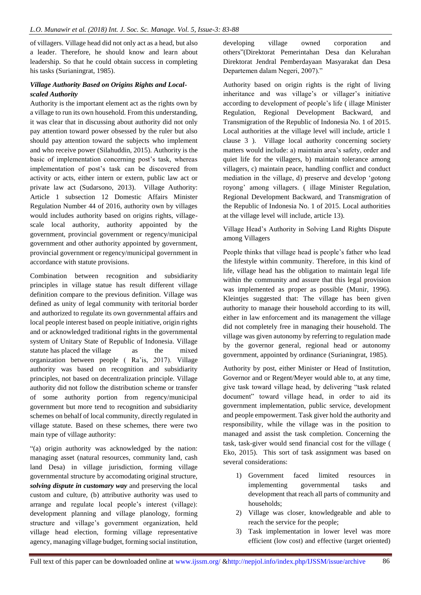of villagers. Village head did not only act as a head, but also a leader. Therefore, he should know and learn about leadership. So that he could obtain success in completing his tasks (Surianingrat, 1985).

### *Village Authority Based on Origins Rights and Localscaled Authority*

Authority is the important element act as the rights own by a village to run its own household. From this understanding, it was clear that in discussing about authority did not only pay attention toward power obsessed by the ruler but also should pay attention toward the subjects who implement and who receive power (Silahuddin, 2015). Authority is the basic of implementation concerning post's task, whereas implementation of post's task can be discovered from activity or acts, either intern or extern, public law act or private law act (Sudarsono, 2013). Village Authority: Article 1 subsection 12 Domestic Affairs Minister Regulation Number 44 of 2016, authority own by villages would includes authority based on origins rights, villagescale local authority, authority appointed by the government, provincial government or regency/municipal government and other authority appointed by government, provincial government or regency/municipal government in accordance with statute provisions.

Combination between recognition and subsidiarity principles in village statue has result different village definition compare to the previous definition. Village was defined as unity of legal community with teritorial border and authorized to regulate its own governmental affairs and local people interest based on people initiative, origin rights and or acknowledged traditional rights in the governmental system of Unitary State of Republic of Indonesia. Village statute has placed the village as the mixed organization between people ( Ra'is, 2017). Village authority was based on recognition and subsidiarity principles, not based on decentralization principle. Village authority did not follow the distribution scheme or transfer of some authority portion from regency/municipal government but more tend to recognition and subsidiarity schemes on behalf of local community, directly regulated in village statute. Based on these schemes, there were two main type of village authority:

"(a) origin authority was acknowledged by the nation: managing asset (natural resources, community land, cash land Desa) in village jurisdiction, forming village governmental structure by accomodating original structure, *solving dispute in customary way* and preserving the local custom and culture, (b) attributive authority was used to arrange and regulate local people's interest (village): development planning and village planology, forming structure and village's government organization, held village head election, forming village representative agency, managing village budget, forming social institution,

developing village owned corporation and others"(Direktorat Pemerintahan Desa dan Kelurahan Direktorat Jendral Pemberdayaan Masyarakat dan Desa Departemen dalam Negeri, 2007)."

Authority based on origin rights is the right of living inheritance and was village's or villager's initiative according to development of people's life ( illage Minister Regulation, Regional Development Backward, and Transmigration of the Republic of Indonesia No. 1 of 2015. Local authorities at the village level will include, article 1 clause 3 ). Village local authority concerning society matters would include: a) maintain area's safety, order and quiet life for the villagers, b) maintain tolerance among villagers, c) maintain peace, handling conflict and conduct mediation in the village, d) preserve and develop 'gotong royong' among villagers. ( illage Minister Regulation, Regional Development Backward, and Transmigration of the Republic of Indonesia No. 1 of 2015. Local authorities at the village level will include, article 13).

Village Head's Authority in Solving Land Rights Dispute among Villagers

People thinks that village head is people's father who lead the lifestyle within community. Therefore, in this kind of life, village head has the obligation to maintain legal life within the community and assure that this legal provision was implemented as proper as possible (Munir, 1996). Kleintjes suggested that: The village has been given authority to manage their household according to its will, either in law enforcement and its management the village did not completely free in managing their household. The village was given autonomy by referring to regulation made by the governor general, regional head or autonomy government, appointed by ordinance (Surianingrat, 1985).

Authority by post, either Minister or Head of Institution, Governor and or Regent/Meyer would able to, at any time, give task toward village head, by delivering "task related document" toward village head, in order to aid its government implementation, public service, development and people empowerment. Task giver hold the authority and responsibility, while the village was in the position to managed and assist the task completion. Concerning the task, task-giver would send financial cost for the village ( Eko, 2015). This sort of task assignment was based on several considerations:

- 1) Government faced limited resources in implementing governmental tasks and development that reach all parts of community and households;
- 2) Village was closer, knowledgeable and able to reach the service for the people;
- 3) Task implementation in lower level was more efficient (low cost) and effective (target oriented)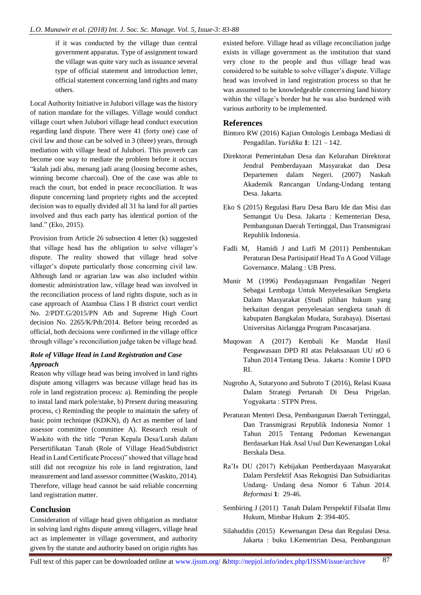if it was conducted by the village than central government apparatus. Type of assignment toward the village was quite vary such as issuance several type of official statement and introduction letter, official statement concerning land rights and many others.

Local Authority Initiative in Julubori village was the history of nation mandate for the villages. Village would conduct village court when Julubori village head conduct execution regarding land dispute. There were 41 (forty one) case of civil law and those can be solved in 3 (three) years, through mediation with village head of Julubori. This proverb can become one way to mediate the problem before it occurs "kalah jadi abu, menang jadi arang (loosing become ashes, winning become charcoal). One of the case was able to reach the court, but ended in peace reconciliation. It was dispute concerning land propriety rights and the accepted decision was to equally divided all 31 ha land for all parties involved and thus each party has identical portion of the land." (Eko, 2015).

Provision from Article 26 subsection 4 letter (k) suggested that village head has the obligation to solve villager's dispute. The reality showed that village head solve villager's dispute particularly those concerning civil law. Although land or agrarian law was also included within domestic administration law, village head was involved in the reconciliation process of land rights dispute, such as in case approach of Atambua Class I B district court verdict No. 2/PDT.G/2015/PN Atb and Supreme High Court decision No. 2265/K/Pdt/2014. Before being recorded as official, both decisions were confirmed in the village office through village's reconciliation judge taken be village head.

#### *Role of Village Head in Land Registration and Case Approach*

Reason why village head was being involved in land rights dispute among villagers was because village head has its role in land registration process: a). Reminding the people to instal land mark pole/stake, b) Present during measuring process, c) Reminding the people to maintain the safety of basic point technique (KDKN), d) Act as member of land assessor committee (committee A). Research result of Waskito with the title "Peran Kepala Desa/Lurah dalam Persertifikatan Tanah (Role of Village Head/Subdistrict Head in Land Certificate Process)" showed that village head still did not recognize his role in land registration, land measurement and land assessor committee (Waskito, 2014). Therefore, village head cannot be said reliable concerning land registration matter.

# **Conclusion**

Consideration of village head given obligation as mediator in solving land rights dispute among villagers, village head act as implementer in village government, and authority given by the statute and authority based on origin rights has

existed before. Village head as village reconciliation judge exists in village government as the institution that stand very close to the people and thus village head was considered to be suitable to solve villager's dispute. Village head was involved in land registration process so that he was assumed to be knowledgeable concerning land history within the village's border but he was also burdened with various authority to be implemented.

## **References**

- Bintoro RW (2016) Kajian Ontologis Lembaga Mediasi di Pengadilan. *Yuridika* **1**: 121 – 142.
- Direktorat Pemerintahan Desa dan Kelurahan Direktorat Jendral Pemberdayaan Masyarakat dan Desa Departemen dalam Negeri. (2007) Naskah Akademik Rancangan Undang-Undang tentang Desa. Jakarta.
- Eko S (2015) Regulasi Baru Desa Baru Ide dan Misi dan Semangat Uu Desa. Jakarta : Kementerian Desa, Pembangunan Daerah Tertinggal, Dan Transmigrasi Republik Indonesia.
- Fadli M, Hamidi J and Lutfi M (2011) Pembentukan Peraturan Desa Partisipatif Head To A Good Village Governance. Malang : UB Press.
- Munir M (1996) Pendayagunaan Pengadilan Negeri Sebagai Lembaga Untuk Menyelesaikan Sengketa Dalam Masyarakat (Studi pilihan hukum yang berkaitan dengan penyelesaian sengketa tanah di kabupaten Bangkalan Mudara, Surabaya). Disertasi Universitas Airlangga Program Pascasarjana.
- Muqowan A (2017) Kembali Ke Mandat Hasil Pengawasaan DPD RI atas Pelaksanaan UU nO 6 Tahun 2014 Tentang Desa. Jakarta : Komite I DPD RI.
- Nugroho A, Sutaryono and Subroto T (2016), Relasi Kuasa Dalam Strategi Pertanah Di Desa Prigelan. Yogyakarta : STPN Press.
- Peraturan Menteri Desa, Pembangunan Daerah Tertinggal, Dan Transmigrasi Republik Indonesia Nomor 1 Tahun 2015 Tentang Pedoman Kewenangan Berdasarkan Hak Asal Usul Dan Kewenangan Lokal Berskala Desa.
- Ra'Is DU (2017) Kebijakan Pemberdayaan Masyarakat Dalam Persfektif Asas Rekognisi Dan Subsidiaritas Undang- Undang desa Nomor 6 Tahun 2014. *Reformasi* **1**: 29-46.
- Sembiring J (2011) Tanah Dalam Perspektif Filsafat Ilmu Hukum, Mimbar Hukum **2**: 394-405.
- Silahuddin (2015) Kewenangan Desa dan Regulasi Desa. Jakarta : buku I.Kementrian Desa, Pembangunan